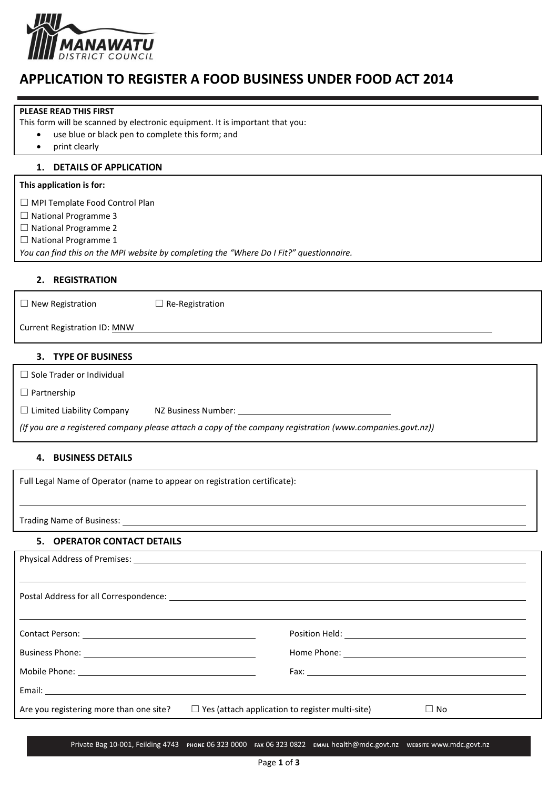

# **APPLICATION TO REGISTER A FOOD BUSINESS UNDER FOOD ACT 2014**

#### **PLEASE READ THIS FIRST**

This form will be scanned by electronic equipment. It is important that you:

- use blue or black pen to complete this form; and
- print clearly

#### **1. DETAILS OF APPLICATION**

### **This application is for:**

☐ MPI Template Food Control Plan

☐ National Programme 3

☐ National Programme 2

□ National Programme 1

*You can find this on the MPI website by completing the "Where Do I Fit?" questionnaire.*

## **2. REGISTRATION**

☐ New Registration ☐ Re-Registration

Current Registration ID: MNW

#### **3. TYPE OF BUSINESS**

□ Sole Trader or Individual

☐ Partnership

 $\Box$  Limited Liability Company NZ Business Number:

*(If you are a registered company please attach a copy of the company registration (www.companies.govt.nz))*

### **4. BUSINESS DETAILS**

Full Legal Name of Operator (name to appear on registration certificate):

Trading Name of Business:

## **5. OPERATOR CONTACT DETAILS**

| Physical Address of Premises: Note and American control of the set of the set of the set of the set of the set of the set of the set of the set of the set of the set of the set of the set of the set of the set of the set o |  |  |
|--------------------------------------------------------------------------------------------------------------------------------------------------------------------------------------------------------------------------------|--|--|
|                                                                                                                                                                                                                                |  |  |
|                                                                                                                                                                                                                                |  |  |
|                                                                                                                                                                                                                                |  |  |
|                                                                                                                                                                                                                                |  |  |
|                                                                                                                                                                                                                                |  |  |
|                                                                                                                                                                                                                                |  |  |
|                                                                                                                                                                                                                                |  |  |
|                                                                                                                                                                                                                                |  |  |
| Are you registering more than one site?<br>$\Box$ Yes (attach application to register multi-site)<br>$\Box$ No                                                                                                                 |  |  |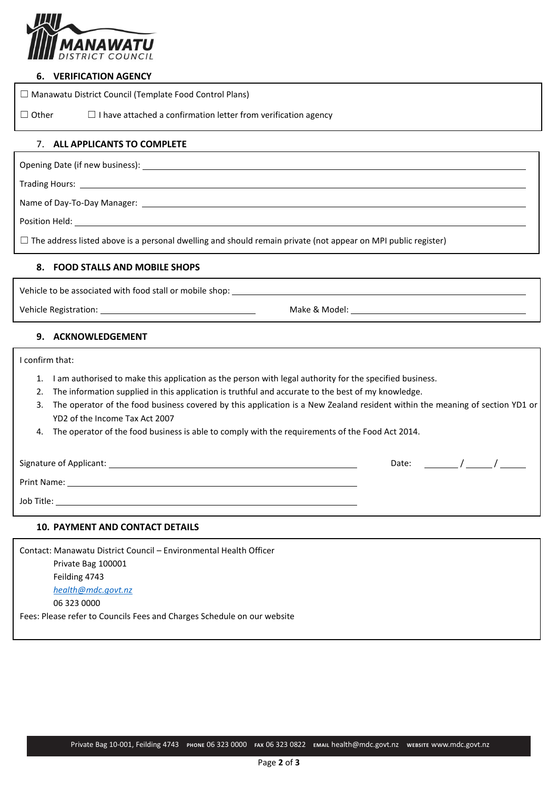

#### **6. VERIFICATION AGENCY**

|                               | $\Box$ Manawatu District Council (Template Food Control Plans)        |
|-------------------------------|-----------------------------------------------------------------------|
| $\Box$ Other                  | $\Box$ I have attached a confirmation letter from verification agency |
| 7. ALL APPLICANTS TO COMPLETE |                                                                       |

Opening Date (if new business):

Trading Hours:

Name of Day-To-Day Manager:

Position Held:

☐ The address listed above is a personal dwelling and should remain private (not appear on MPI public register)

#### **8. FOOD STALLS AND MOBILE SHOPS**

Vehicle to be associated with food stall or mobile shop: \_\_\_\_\_

Vehicle Registration: Make & Model: Make & Model:

#### **9. ACKNOWLEDGEMENT**

I confirm that:

- 1. I am authorised to make this application as the person with legal authority for the specified business.
- 2. The information supplied in this application is truthful and accurate to the best of my knowledge.
- 3. The operator of the food business covered by this application is a New Zealand resident within the meaning of section YD1 or YD2 of the Income Tax Act 2007
- 4. The operator of the food business is able to comply with the requirements of the Food Act 2014.

Signature of Applicant: Date: / /

Print Name: <u>with a state of the state of the state of the state of the state of the state of the state of the state of the state of the state of the state of the state of the state of the state of the state of the state o</u>

Job Title:

## **10. PAYMENT AND CONTACT DETAILS**

Contact: Manawatu District Council – Environmental Health Officer Private Bag 100001 Feilding 4743 *health@mdc.govt.nz* 06 323 0000 Fees: Please refer to Councils Fees and Charges Schedule on our website